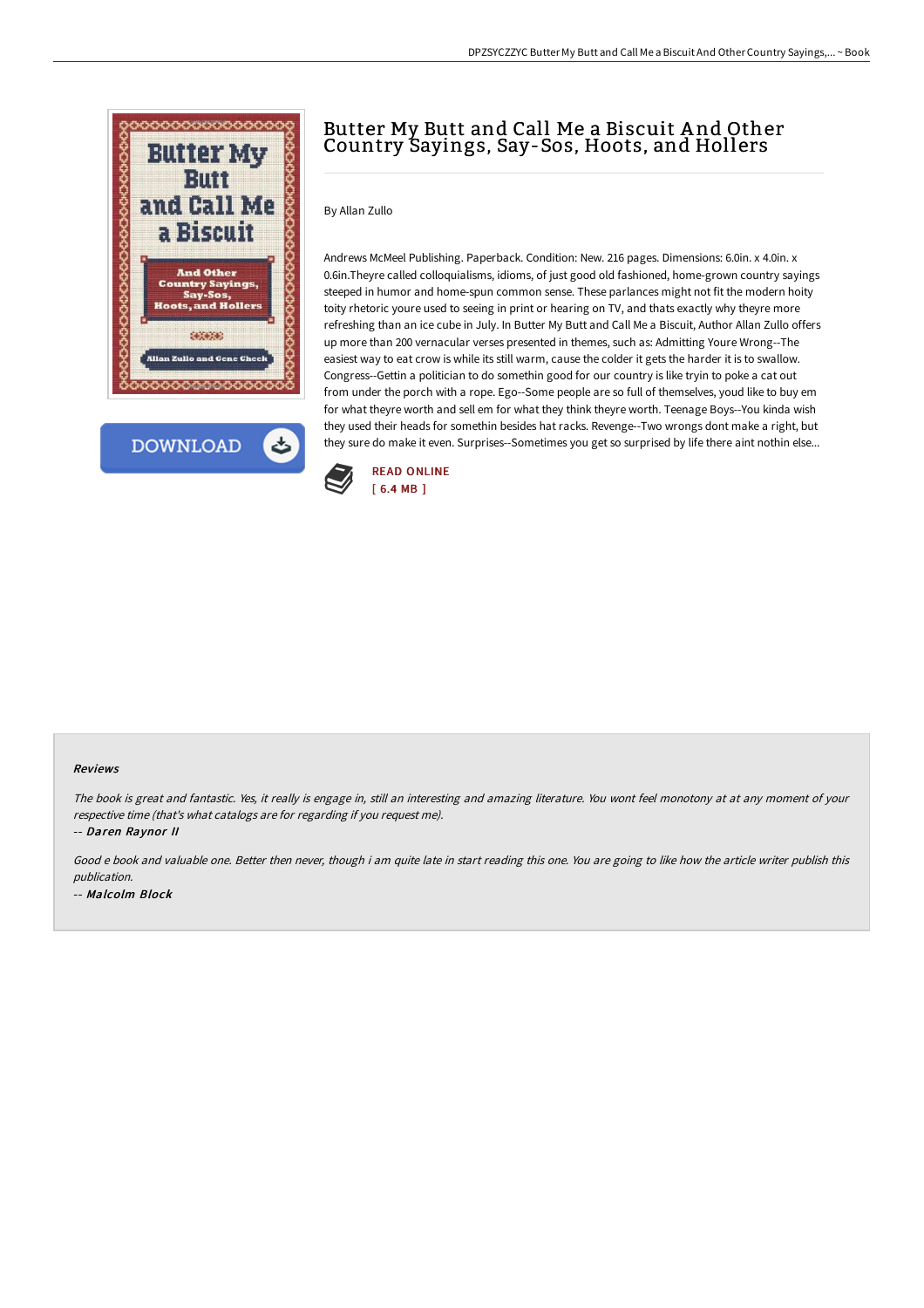



# Butter My Butt and Call Me a Biscuit A nd Other Country Sayings, Say-Sos, Hoots, and Hollers

## By Allan Zullo

Andrews McMeel Publishing. Paperback. Condition: New. 216 pages. Dimensions: 6.0in. x 4.0in. x 0.6in.Theyre called colloquialisms, idioms, of just good old fashioned, home-grown country sayings steeped in humor and home-spun common sense. These parlances might not fit the modern hoity toity rhetoric youre used to seeing in print or hearing on TV, and thats exactly why theyre more refreshing than an ice cube in July. In Butter My Butt and Call Me a Biscuit, Author Allan Zullo offers up more than 200 vernacular verses presented in themes, such as: Admitting Youre Wrong--The easiest way to eat crow is while its still warm, cause the colder it gets the harder it is to swallow. Congress--Gettin a politician to do somethin good for our country is like tryin to poke a cat out from under the porch with a rope. Ego--Some people are so full of themselves, youd like to buy em for what theyre worth and sell em for what they think theyre worth. Teenage Boys--You kinda wish they used their heads for somethin besides hat racks. Revenge--Two wrongs dont make a right, but they sure do make it even. Surprises--Sometimes you get so surprised by life there aint nothin else...



### Reviews

The book is great and fantastic. Yes, it really is engage in, still an interesting and amazing literature. You wont feel monotony at at any moment of your respective time (that's what catalogs are for regarding if you request me).

-- Daren Raynor II

Good <sup>e</sup> book and valuable one. Better then never, though i am quite late in start reading this one. You are going to like how the article writer publish this publication. -- Malcolm Block